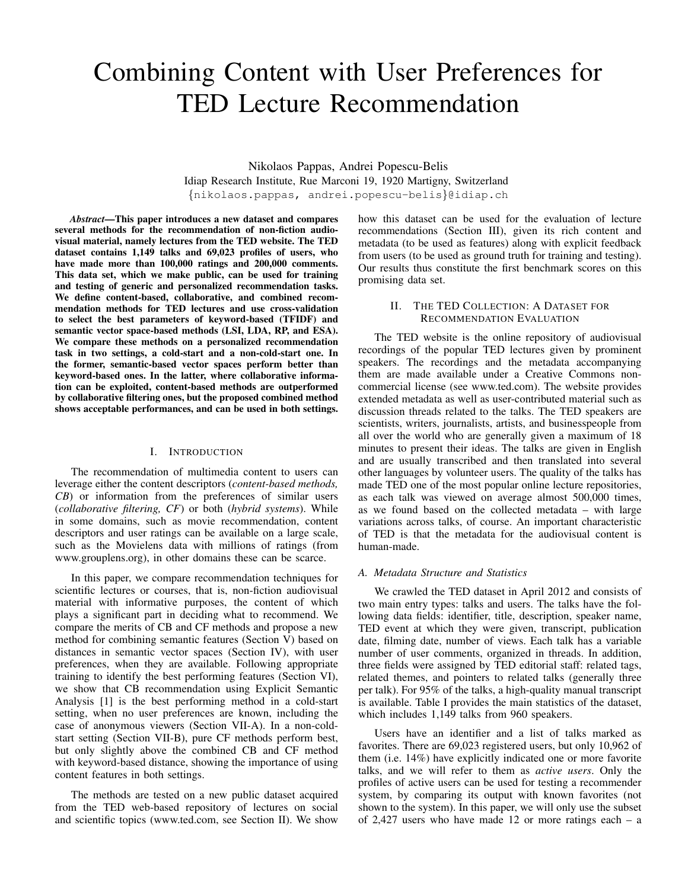# Combining Content with User Preferences for TED Lecture Recommendation

Nikolaos Pappas, Andrei Popescu-Belis Idiap Research Institute, Rue Marconi 19, 1920 Martigny, Switzerland {nikolaos.pappas, andrei.popescu-belis}@idiap.ch

*Abstract*—This paper introduces a new dataset and compares several methods for the recommendation of non-fiction audiovisual material, namely lectures from the TED website. The TED dataset contains 1,149 talks and 69,023 profiles of users, who have made more than 100,000 ratings and 200,000 comments. This data set, which we make public, can be used for training and testing of generic and personalized recommendation tasks. We define content-based, collaborative, and combined recommendation methods for TED lectures and use cross-validation to select the best parameters of keyword-based (TFIDF) and semantic vector space-based methods (LSI, LDA, RP, and ESA). We compare these methods on a personalized recommendation task in two settings, a cold-start and a non-cold-start one. In the former, semantic-based vector spaces perform better than keyword-based ones. In the latter, where collaborative information can be exploited, content-based methods are outperformed by collaborative filtering ones, but the proposed combined method shows acceptable performances, and can be used in both settings.

# I. INTRODUCTION

The recommendation of multimedia content to users can leverage either the content descriptors (*content-based methods, CB*) or information from the preferences of similar users (*collaborative filtering, CF*) or both (*hybrid systems*). While in some domains, such as movie recommendation, content descriptors and user ratings can be available on a large scale, such as the Movielens data with millions of ratings (from www.grouplens.org), in other domains these can be scarce.

In this paper, we compare recommendation techniques for scientific lectures or courses, that is, non-fiction audiovisual material with informative purposes, the content of which plays a significant part in deciding what to recommend. We compare the merits of CB and CF methods and propose a new method for combining semantic features (Section V) based on distances in semantic vector spaces (Section IV), with user preferences, when they are available. Following appropriate training to identify the best performing features (Section VI), we show that CB recommendation using Explicit Semantic Analysis [1] is the best performing method in a cold-start setting, when no user preferences are known, including the case of anonymous viewers (Section VII-A). In a non-coldstart setting (Section VII-B), pure CF methods perform best, but only slightly above the combined CB and CF method with keyword-based distance, showing the importance of using content features in both settings.

The methods are tested on a new public dataset acquired from the TED web-based repository of lectures on social and scientific topics (www.ted.com, see Section II). We show how this dataset can be used for the evaluation of lecture recommendations (Section III), given its rich content and metadata (to be used as features) along with explicit feedback from users (to be used as ground truth for training and testing). Our results thus constitute the first benchmark scores on this promising data set.

# II. THE TED COLLECTION: A DATASET FOR RECOMMENDATION EVALUATION

The TED website is the online repository of audiovisual recordings of the popular TED lectures given by prominent speakers. The recordings and the metadata accompanying them are made available under a Creative Commons noncommercial license (see www.ted.com). The website provides extended metadata as well as user-contributed material such as discussion threads related to the talks. The TED speakers are scientists, writers, journalists, artists, and businesspeople from all over the world who are generally given a maximum of 18 minutes to present their ideas. The talks are given in English and are usually transcribed and then translated into several other languages by volunteer users. The quality of the talks has made TED one of the most popular online lecture repositories, as each talk was viewed on average almost 500,000 times, as we found based on the collected metadata – with large variations across talks, of course. An important characteristic of TED is that the metadata for the audiovisual content is human-made.

## *A. Metadata Structure and Statistics*

We crawled the TED dataset in April 2012 and consists of two main entry types: talks and users. The talks have the following data fields: identifier, title, description, speaker name, TED event at which they were given, transcript, publication date, filming date, number of views. Each talk has a variable number of user comments, organized in threads. In addition, three fields were assigned by TED editorial staff: related tags, related themes, and pointers to related talks (generally three per talk). For 95% of the talks, a high-quality manual transcript is available. Table I provides the main statistics of the dataset, which includes 1,149 talks from 960 speakers.

Users have an identifier and a list of talks marked as favorites. There are 69,023 registered users, but only 10,962 of them (i.e. 14%) have explicitly indicated one or more favorite talks, and we will refer to them as *active users*. Only the profiles of active users can be used for testing a recommender system, by comparing its output with known favorites (not shown to the system). In this paper, we will only use the subset of 2,427 users who have made 12 or more ratings each – a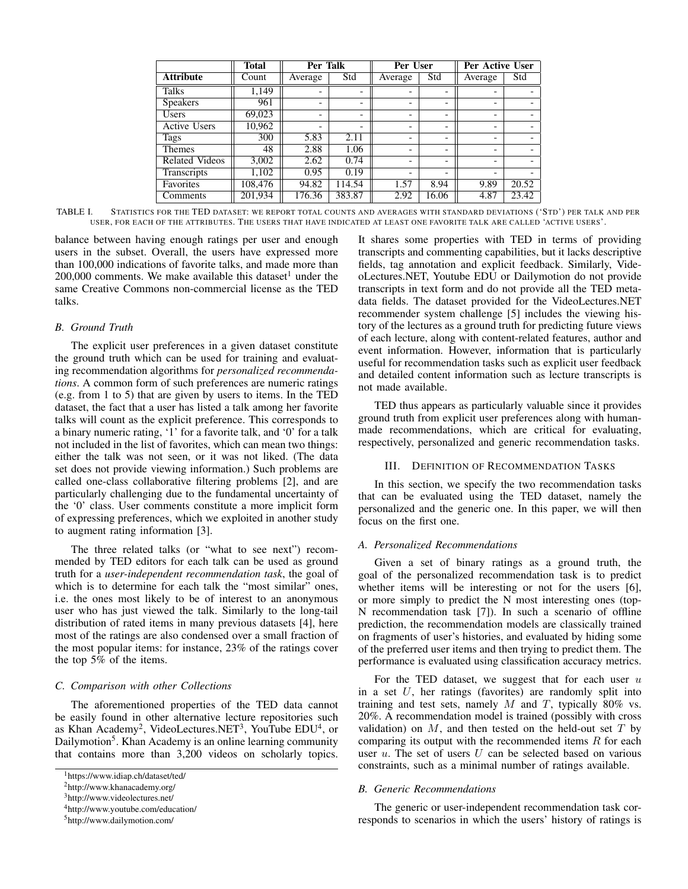|                       | <b>Total</b> | Per Talk                 |                          | Per User |                          | Per Active User |       |
|-----------------------|--------------|--------------------------|--------------------------|----------|--------------------------|-----------------|-------|
| <b>Attribute</b>      | Count        | Average                  | Std                      | Average  | Std                      | Average         | Std   |
| Talks                 | 1.149        | $\overline{\phantom{0}}$ |                          | -        | -                        | -               |       |
| <b>Speakers</b>       | 961          | $\overline{\phantom{0}}$ | $\overline{\phantom{0}}$ | -        | $\overline{\phantom{0}}$ | -               |       |
| <b>Users</b>          | 69,023       | $\overline{\phantom{0}}$ | $\overline{\phantom{0}}$ | -        | $\overline{\phantom{0}}$ | -               |       |
| <b>Active Users</b>   | 10,962       | $\overline{\phantom{0}}$ | $\overline{\phantom{0}}$ | -        | $\overline{\phantom{0}}$ | -               |       |
| Tags                  | 300          | 5.83                     | 2.11                     | -        | $\overline{\phantom{0}}$ | -               |       |
| Themes                | 48           | 2.88                     | 1.06                     | -        | $\overline{\phantom{0}}$ | -               |       |
| <b>Related Videos</b> | 3,002        | 2.62                     | 0.74                     | -        | $\overline{\phantom{0}}$ |                 |       |
| Transcripts           | 1,102        | 0.95                     | 0.19                     | -        | $\overline{\phantom{0}}$ |                 |       |
| Favorites             | 108,476      | 94.82                    | 114.54                   | 1.57     | 8.94                     | 9.89            | 20.52 |
| Comments              | 201.934      | 176.36                   | 383.87                   | 2.92     | 16.06                    | 4.87            | 23.42 |

TABLE I. STATISTICS FOR THE TED DATASET: WE REPORT TOTAL COUNTS AND AVERAGES WITH STANDARD DEVIATIONS ('STD') PER TALK AND PER USER, FOR EACH OF THE ATTRIBUTES. THE USERS THAT HAVE INDICATED AT LEAST ONE FAVORITE TALK ARE CALLED 'ACTIVE USERS'.

balance between having enough ratings per user and enough users in the subset. Overall, the users have expressed more than 100,000 indications of favorite talks, and made more than  $200,000$  comments. We make available this dataset<sup>1</sup> under the same Creative Commons non-commercial license as the TED talks.

# *B. Ground Truth*

The explicit user preferences in a given dataset constitute the ground truth which can be used for training and evaluating recommendation algorithms for *personalized recommendations*. A common form of such preferences are numeric ratings (e.g. from 1 to 5) that are given by users to items. In the TED dataset, the fact that a user has listed a talk among her favorite talks will count as the explicit preference. This corresponds to a binary numeric rating, '1' for a favorite talk, and '0' for a talk not included in the list of favorites, which can mean two things: either the talk was not seen, or it was not liked. (The data set does not provide viewing information.) Such problems are called one-class collaborative filtering problems [2], and are particularly challenging due to the fundamental uncertainty of the '0' class. User comments constitute a more implicit form of expressing preferences, which we exploited in another study to augment rating information [3].

The three related talks (or "what to see next") recommended by TED editors for each talk can be used as ground truth for a *user-independent recommendation task*, the goal of which is to determine for each talk the "most similar" ones, i.e. the ones most likely to be of interest to an anonymous user who has just viewed the talk. Similarly to the long-tail distribution of rated items in many previous datasets [4], here most of the ratings are also condensed over a small fraction of the most popular items: for instance, 23% of the ratings cover the top 5% of the items.

# *C. Comparison with other Collections*

The aforementioned properties of the TED data cannot be easily found in other alternative lecture repositories such as Khan Academy<sup>2</sup>, VideoLectures.NET<sup>3</sup>, YouTube EDU<sup>4</sup>, or Dailymotion<sup>5</sup>. Khan Academy is an online learning community that contains more than 3,200 videos on scholarly topics.

It shares some properties with TED in terms of providing transcripts and commenting capabilities, but it lacks descriptive fields, tag annotation and explicit feedback. Similarly, VideoLectures.NET, Youtube EDU or Dailymotion do not provide transcripts in text form and do not provide all the TED metadata fields. The dataset provided for the VideoLectures.NET recommender system challenge [5] includes the viewing history of the lectures as a ground truth for predicting future views of each lecture, along with content-related features, author and event information. However, information that is particularly useful for recommendation tasks such as explicit user feedback and detailed content information such as lecture transcripts is not made available.

TED thus appears as particularly valuable since it provides ground truth from explicit user preferences along with humanmade recommendations, which are critical for evaluating, respectively, personalized and generic recommendation tasks.

# III. DEFINITION OF RECOMMENDATION TASKS

In this section, we specify the two recommendation tasks that can be evaluated using the TED dataset, namely the personalized and the generic one. In this paper, we will then focus on the first one.

#### *A. Personalized Recommendations*

Given a set of binary ratings as a ground truth, the goal of the personalized recommendation task is to predict whether items will be interesting or not for the users [6], or more simply to predict the N most interesting ones (top-N recommendation task [7]). In such a scenario of offline prediction, the recommendation models are classically trained on fragments of user's histories, and evaluated by hiding some of the preferred user items and then trying to predict them. The performance is evaluated using classification accuracy metrics.

For the TED dataset, we suggest that for each user  $u$ in a set  $U$ , her ratings (favorites) are randomly split into training and test sets, namely  $M$  and  $T$ , typically 80% vs. 20%. A recommendation model is trained (possibly with cross validation) on  $M$ , and then tested on the held-out set  $T$  by comparing its output with the recommended items  $R$  for each user  $u$ . The set of users  $U$  can be selected based on various constraints, such as a minimal number of ratings available.

## *B. Generic Recommendations*

The generic or user-independent recommendation task corresponds to scenarios in which the users' history of ratings is

<sup>1</sup>https://www.idiap.ch/dataset/ted/

<sup>2</sup>http://www.khanacademy.org/

<sup>3</sup>http://www.videolectures.net/

<sup>4</sup>http://www.youtube.com/education/

<sup>5</sup>http://www.dailymotion.com/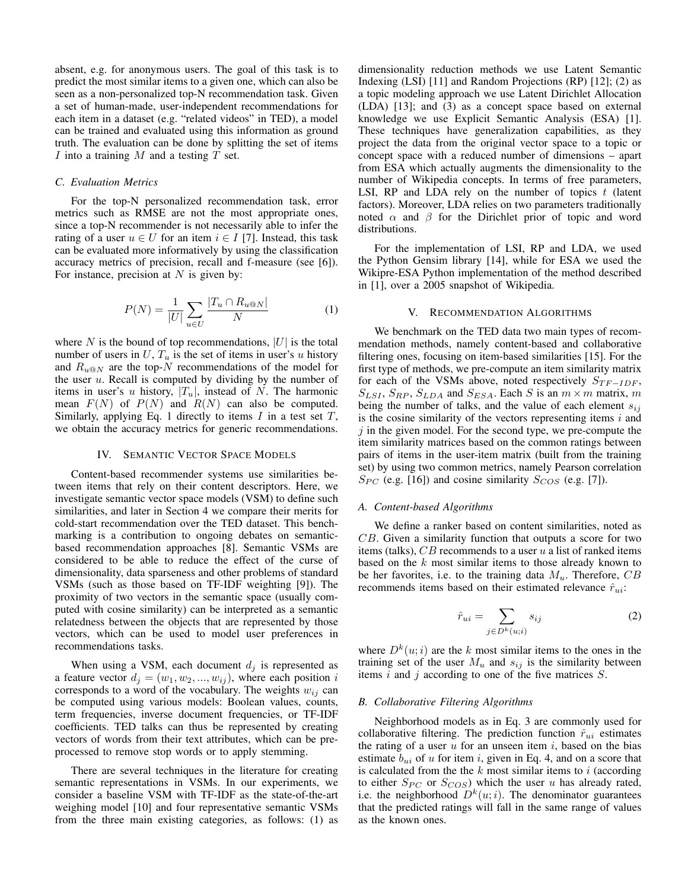absent, e.g. for anonymous users. The goal of this task is to predict the most similar items to a given one, which can also be seen as a non-personalized top-N recommendation task. Given a set of human-made, user-independent recommendations for each item in a dataset (e.g. "related videos" in TED), a model can be trained and evaluated using this information as ground truth. The evaluation can be done by splitting the set of items I into a training  $M$  and a testing  $T$  set.

## *C. Evaluation Metrics*

For the top-N personalized recommendation task, error metrics such as RMSE are not the most appropriate ones, since a top-N recommender is not necessarily able to infer the rating of a user  $u \in U$  for an item  $i \in I$  [7]. Instead, this task can be evaluated more informatively by using the classification accuracy metrics of precision, recall and f-measure (see [6]). For instance, precision at  $N$  is given by:

$$
P(N) = \frac{1}{|U|} \sum_{u \in U} \frac{|T_u \cap R_{u \otimes N}|}{N}
$$
 (1)

where N is the bound of top recommendations,  $|U|$  is the total number of users in  $U, T_u$  is the set of items in user's u history and  $R_{u@N}$  are the top-N recommendations of the model for the user  $u$ . Recall is computed by dividing by the number of items in user's u history,  $|T_u|$ , instead of N. The harmonic mean  $F(N)$  of  $P(N)$  and  $R(N)$  can also be computed. Similarly, applying Eq. 1 directly to items  $I$  in a test set  $T$ , we obtain the accuracy metrics for generic recommendations.

#### IV. SEMANTIC VECTOR SPACE MODELS

Content-based recommender systems use similarities between items that rely on their content descriptors. Here, we investigate semantic vector space models (VSM) to define such similarities, and later in Section 4 we compare their merits for cold-start recommendation over the TED dataset. This benchmarking is a contribution to ongoing debates on semanticbased recommendation approaches [8]. Semantic VSMs are considered to be able to reduce the effect of the curse of dimensionality, data sparseness and other problems of standard VSMs (such as those based on TF-IDF weighting [9]). The proximity of two vectors in the semantic space (usually computed with cosine similarity) can be interpreted as a semantic relatedness between the objects that are represented by those vectors, which can be used to model user preferences in recommendations tasks.

When using a VSM, each document  $d_j$  is represented as a feature vector  $d_j = (w_1, w_2, ..., w_{ij})$ , where each position i corresponds to a word of the vocabulary. The weights  $w_{ij}$  can be computed using various models: Boolean values, counts, term frequencies, inverse document frequencies, or TF-IDF coefficients. TED talks can thus be represented by creating vectors of words from their text attributes, which can be preprocessed to remove stop words or to apply stemming.

There are several techniques in the literature for creating semantic representations in VSMs. In our experiments, we consider a baseline VSM with TF-IDF as the state-of-the-art weighing model [10] and four representative semantic VSMs from the three main existing categories, as follows: (1) as

dimensionality reduction methods we use Latent Semantic Indexing (LSI) [11] and Random Projections (RP) [12]; (2) as a topic modeling approach we use Latent Dirichlet Allocation (LDA) [13]; and (3) as a concept space based on external knowledge we use Explicit Semantic Analysis (ESA) [1]. These techniques have generalization capabilities, as they project the data from the original vector space to a topic or concept space with a reduced number of dimensions – apart from ESA which actually augments the dimensionality to the number of Wikipedia concepts. In terms of free parameters, LSI, RP and LDA rely on the number of topics  $t$  (latent factors). Moreover, LDA relies on two parameters traditionally noted  $\alpha$  and  $\beta$  for the Dirichlet prior of topic and word distributions.

For the implementation of LSI, RP and LDA, we used the Python Gensim library [14], while for ESA we used the Wikipre-ESA Python implementation of the method described in [1], over a 2005 snapshot of Wikipedia.

#### V. RECOMMENDATION ALGORITHMS

We benchmark on the TED data two main types of recommendation methods, namely content-based and collaborative filtering ones, focusing on item-based similarities [15]. For the first type of methods, we pre-compute an item similarity matrix for each of the VSMs above, noted respectively  $S_{TF-IDF}$ ,  $S_{LSI}$ ,  $S_{RP}$ ,  $S_{LDA}$  and  $S_{ESA}$ . Each S is an  $m \times m$  matrix, m being the number of talks, and the value of each element  $s_{ij}$ is the cosine similarity of the vectors representing items  $i$  and  $j$  in the given model. For the second type, we pre-compute the item similarity matrices based on the common ratings between pairs of items in the user-item matrix (built from the training set) by using two common metrics, namely Pearson correlation  $S_{PC}$  (e.g. [16]) and cosine similarity  $S_{COS}$  (e.g. [7]).

# *A. Content-based Algorithms*

We define a ranker based on content similarities, noted as CB. Given a similarity function that outputs a score for two items (talks),  $CB$  recommends to a user  $u$  a list of ranked items based on the k most similar items to those already known to be her favorites, i.e. to the training data  $M_u$ . Therefore,  $CB$ recommends items based on their estimated relevance  $\hat{r}_{ui}$ :

$$
\hat{r}_{ui} = \sum_{j \in D^k(u;i)} s_{ij} \tag{2}
$$

where  $D^k(u; i)$  are the k most similar items to the ones in the training set of the user  $M_u$  and  $s_{ij}$  is the similarity between items i and j according to one of the five matrices  $S$ .

## *B. Collaborative Filtering Algorithms*

Neighborhood models as in Eq. 3 are commonly used for collaborative filtering. The prediction function  $\hat{r}_{ui}$  estimates the rating of a user  $u$  for an unseen item  $i$ , based on the bias estimate  $b_{ui}$  of u for item i, given in Eq. 4, and on a score that is calculated from the the  $k$  most similar items to  $i$  (according to either  $S_{PC}$  or  $S_{COS}$ ) which the user u has already rated, i.e. the neighborhood  $D^k(u; i)$ . The denominator guarantees that the predicted ratings will fall in the same range of values as the known ones.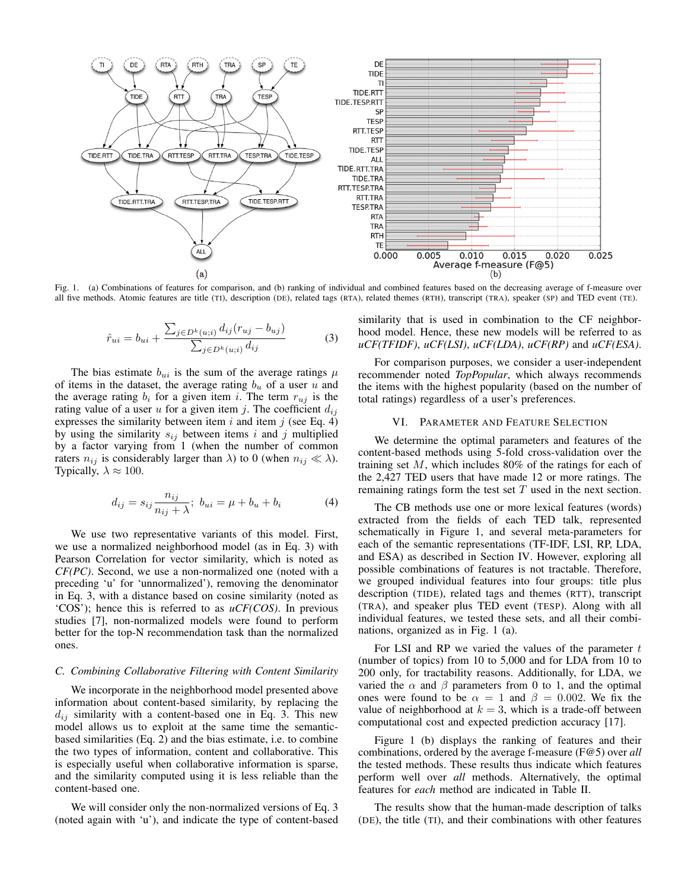

Fig. 1. (a) Combinations of features for comparison, and (b) ranking of individual and combined features based on the decreasing average of f-measure over all five methods. Atomic features are title (TI), description (DE), related tags (RTA), related themes (RTH), transcript (TRA), speaker (SP) and TED event (TE).

$$
\hat{r}_{ui} = b_{ui} + \frac{\sum_{j \in D^k(u;i)} d_{ij}(r_{uj} - b_{uj})}{\sum_{j \in D^k(u;i)} d_{ij}} \tag{3}
$$

The bias estimate  $b_{ui}$  is the sum of the average ratings  $\mu$ of items in the dataset, the average rating  $b_u$  of a user u and the average rating  $b_i$  for a given item i. The term  $r_{uj}$  is the rating value of a user u for a given item j. The coefficient  $d_{ij}$ expresses the similarity between item i and item j (see Eq. 4) by using the similarity  $s_{ij}$  between items i and j multiplied by a factor varying from 1 (when the number of common raters  $n_{ij}$  is considerably larger than  $\lambda$ ) to 0 (when  $n_{ij} \ll \lambda$ ). Typically,  $\lambda \approx 100$ .

$$
d_{ij} = s_{ij} \frac{n_{ij}}{n_{ij} + \lambda}; \ b_{ui} = \mu + b_u + b_i \tag{4}
$$

We use two representative variants of this model. First, we use a normalized neighborhood model (as in Eq. 3) with Pearson Correlation for vector similarity, which is noted as *CF(PC)*. Second, we use a non-normalized one (noted with a preceding 'u' for 'unnormalized'), removing the denominator in Eq. 3, with a distance based on cosine similarity (noted as 'COS'); hence this is referred to as *uCF(COS)*. In previous studies [7], non-normalized models were found to perform better for the top-N recommendation task than the normalized ones.

#### *C. Combining Collaborative Filtering with Content Similarity*

We incorporate in the neighborhood model presented above information about content-based similarity, by replacing the  $d_{ij}$  similarity with a content-based one in Eq. 3. This new model allows us to exploit at the same time the semanticbased similarities (Eq. 2) and the bias estimate, i.e. to combine the two types of information, content and collaborative. This is especially useful when collaborative information is sparse, and the similarity computed using it is less reliable than the content-based one.

We will consider only the non-normalized versions of Eq. 3 (noted again with 'u'), and indicate the type of content-based similarity that is used in combination to the CF neighborhood model. Hence, these new models will be referred to as *uCF(TFIDF)*, *uCF(LSI)*, *uCF(LDA)*, *uCF(RP)* and *uCF(ESA)*.

For comparison purposes, we consider a user-independent recommender noted *TopPopular*, which always recommends the items with the highest popularity (based on the number of total ratings) regardless of a user's preferences.

#### VI. PARAMETER AND FEATURE SELECTION

We determine the optimal parameters and features of the content-based methods using 5-fold cross-validation over the training set M, which includes 80% of the ratings for each of the 2,427 TED users that have made 12 or more ratings. The remaining ratings form the test set  $T$  used in the next section.

The CB methods use one or more lexical features (words) extracted from the fields of each TED talk, represented schematically in Figure 1, and several meta-parameters for each of the semantic representations (TF-IDF, LSI, RP, LDA, and ESA) as described in Section IV. However, exploring all possible combinations of features is not tractable. Therefore, we grouped individual features into four groups: title plus description (TIDE), related tags and themes (RTT), transcript (TRA), and speaker plus TED event (TESP). Along with all individual features, we tested these sets, and all their combinations, organized as in Fig. 1 (a).

For LSI and RP we varied the values of the parameter  $t$ (number of topics) from 10 to 5,000 and for LDA from 10 to 200 only, for tractability reasons. Additionally, for LDA, we varied the  $\alpha$  and  $\beta$  parameters from 0 to 1, and the optimal ones were found to be  $\alpha = 1$  and  $\beta = 0.002$ . We fix the value of neighborhood at  $k = 3$ , which is a trade-off between computational cost and expected prediction accuracy [17].

Figure 1 (b) displays the ranking of features and their combinations, ordered by the average f-measure (F@5) over *all* the tested methods. These results thus indicate which features perform well over *all* methods. Alternatively, the optimal features for *each* method are indicated in Table II.

The results show that the human-made description of talks (DE), the title (TI), and their combinations with other features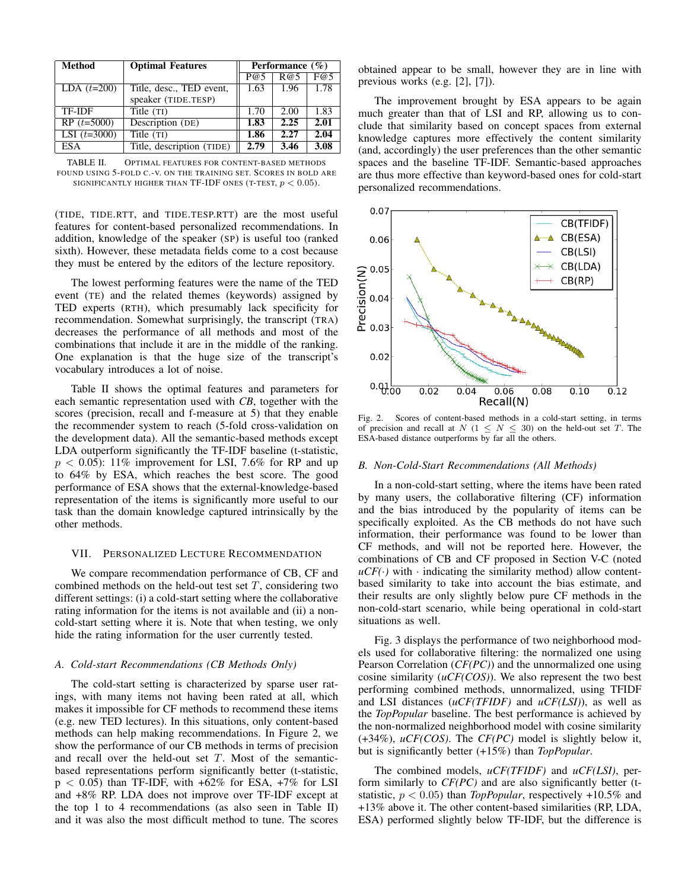| Method         | <b>Optimal Features</b>   | Performance $(\% )$ |      |      |
|----------------|---------------------------|---------------------|------|------|
|                |                           | P@5                 | R@5  | F@5  |
| LDA $(t=200)$  | Title, desc., TED event,  | 1.63                | 1.96 | 1.78 |
|                | speaker (TIDE.TESP)       |                     |      |      |
| <b>TF-IDF</b>  | Title (TI)                | 1.70                | 2.00 | 1.83 |
| $RP(t=5000)$   | Description (DE)          | 1.83                | 2.25 | 2.01 |
| LSI $(t=3000)$ | Title (TI)                | 1.86                | 2.27 | 2.04 |
| <b>ESA</b>     | Title, description (TIDE) | 2.79                | 3.46 | 3.08 |

TABLE II. OPTIMAL FEATURES FOR CONTENT-BASED METHODS FOUND USING 5-FOLD C.-V. ON THE TRAINING SET. SCORES IN BOLD ARE SIGNIFICANTLY HIGHER THAN TF-IDF ONES (T-TEST,  $p < 0.05$ ).

(TIDE, TIDE.RTT, and TIDE.TESP.RTT) are the most useful features for content-based personalized recommendations. In addition, knowledge of the speaker (SP) is useful too (ranked sixth). However, these metadata fields come to a cost because they must be entered by the editors of the lecture repository.

The lowest performing features were the name of the TED event (TE) and the related themes (keywords) assigned by TED experts (RTH), which presumably lack specificity for recommendation. Somewhat surprisingly, the transcript (TRA) decreases the performance of all methods and most of the combinations that include it are in the middle of the ranking. One explanation is that the huge size of the transcript's vocabulary introduces a lot of noise.

Table II shows the optimal features and parameters for each semantic representation used with *CB*, together with the scores (precision, recall and f-measure at 5) that they enable the recommender system to reach (5-fold cross-validation on the development data). All the semantic-based methods except LDA outperform significantly the TF-IDF baseline (t-statistic,  $p < 0.05$ : 11% improvement for LSI, 7.6% for RP and up to 64% by ESA, which reaches the best score. The good performance of ESA shows that the external-knowledge-based representation of the items is significantly more useful to our task than the domain knowledge captured intrinsically by the other methods.

## VII. PERSONALIZED LECTURE RECOMMENDATION

We compare recommendation performance of CB, CF and combined methods on the held-out test set  $T$ , considering two different settings: (i) a cold-start setting where the collaborative rating information for the items is not available and (ii) a noncold-start setting where it is. Note that when testing, we only hide the rating information for the user currently tested.

## *A. Cold-start Recommendations (CB Methods Only)*

The cold-start setting is characterized by sparse user ratings, with many items not having been rated at all, which makes it impossible for CF methods to recommend these items (e.g. new TED lectures). In this situations, only content-based methods can help making recommendations. In Figure 2, we show the performance of our CB methods in terms of precision and recall over the held-out set  $T$ . Most of the semanticbased representations perform significantly better (t-statistic,  $p < 0.05$ ) than TF-IDF, with  $+62\%$  for ESA,  $+7\%$  for LSI and +8% RP. LDA does not improve over TF-IDF except at the top 1 to 4 recommendations (as also seen in Table II) and it was also the most difficult method to tune. The scores

obtained appear to be small, however they are in line with previous works (e.g. [2], [7]).

The improvement brought by ESA appears to be again much greater than that of LSI and RP, allowing us to conclude that similarity based on concept spaces from external knowledge captures more effectively the content similarity (and, accordingly) the user preferences than the other semantic spaces and the baseline TF-IDF. Semantic-based approaches are thus more effective than keyword-based ones for cold-start personalized recommendations.



Fig. 2. Scores of content-based methods in a cold-start setting, in terms of precision and recall at  $N$  ( $1 \leq N \leq 30$ ) on the held-out set T. The ESA-based distance outperforms by far all the others.

#### *B. Non-Cold-Start Recommendations (All Methods)*

In a non-cold-start setting, where the items have been rated by many users, the collaborative filtering (CF) information and the bias introduced by the popularity of items can be specifically exploited. As the CB methods do not have such information, their performance was found to be lower than CF methods, and will not be reported here. However, the combinations of CB and CF proposed in Section V-C (noted  $\mu CF(\cdot)$  with  $\cdot$  indicating the similarity method) allow contentbased similarity to take into account the bias estimate, and their results are only slightly below pure CF methods in the non-cold-start scenario, while being operational in cold-start situations as well.

Fig. 3 displays the performance of two neighborhood models used for collaborative filtering: the normalized one using Pearson Correlation (*CF(PC)*) and the unnormalized one using cosine similarity (*uCF(COS)*). We also represent the two best performing combined methods, unnormalized, using TFIDF and LSI distances (*uCF(TFIDF)* and *uCF(LSI)*), as well as the *TopPopular* baseline. The best performance is achieved by the non-normalized neighborhood model with cosine similarity (+34%), *uCF(COS)*. The *CF(PC)* model is slightly below it, but is significantly better (+15%) than *TopPopular*.

The combined models, *uCF(TFIDF)* and *uCF(LSI)*, perform similarly to *CF(PC)* and are also significantly better (tstatistic, p < 0.05) than *TopPopular*, respectively +10.5% and +13% above it. The other content-based similarities (RP, LDA, ESA) performed slightly below TF-IDF, but the difference is